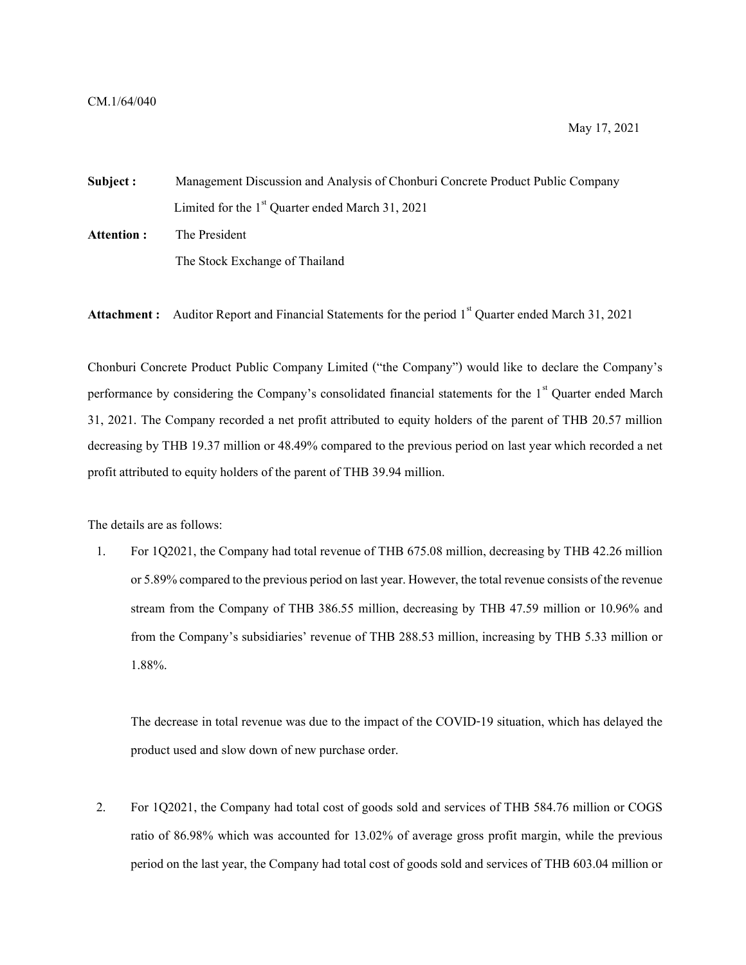Subject : Management Discussion and Analysis of Chonburi Concrete Product Public Company Limited for the  $1<sup>st</sup>$  Quarter ended March 31, 2021 Attention : The President The Stock Exchange of Thailand

**Attachment :** Auditor Report and Financial Statements for the period  $1<sup>st</sup>$  Quarter ended March 31, 2021

Chonburi Concrete Product Public Company Limited ("the Company") would like to declare the Company's performance by considering the Company's consolidated financial statements for the 1<sup>st</sup> Quarter ended March 31, 2021. The Company recorded a net profit attributed to equity holders of the parent of THB 20.57 million decreasing by THB 19.37 million or 48.49% compared to the previous period on last year which recorded a net profit attributed to equity holders of the parent of THB 39.94 million.

The details are as follows:

1. For 1Q2021, the Company had total revenue of THB 675.08 million, decreasing by THB 42.26 million or 5.89% compared to the previous period on last year. However, the total revenue consists of the revenue stream from the Company of THB 386.55 million, decreasing by THB 47.59 million or 10.96% and from the Company's subsidiaries' revenue of THB 288.53 million, increasing by THB 5.33 million or 1.88%.

The decrease in total revenue was due to the impact of the COVID-19 situation, which has delayed the product used and slow down of new purchase order.

2. For 1Q2021, the Company had total cost of goods sold and services of THB 584.76 million or COGS ratio of 86.98% which was accounted for 13.02% of average gross profit margin, while the previous period on the last year, the Company had total cost of goods sold and services of THB 603.04 million or